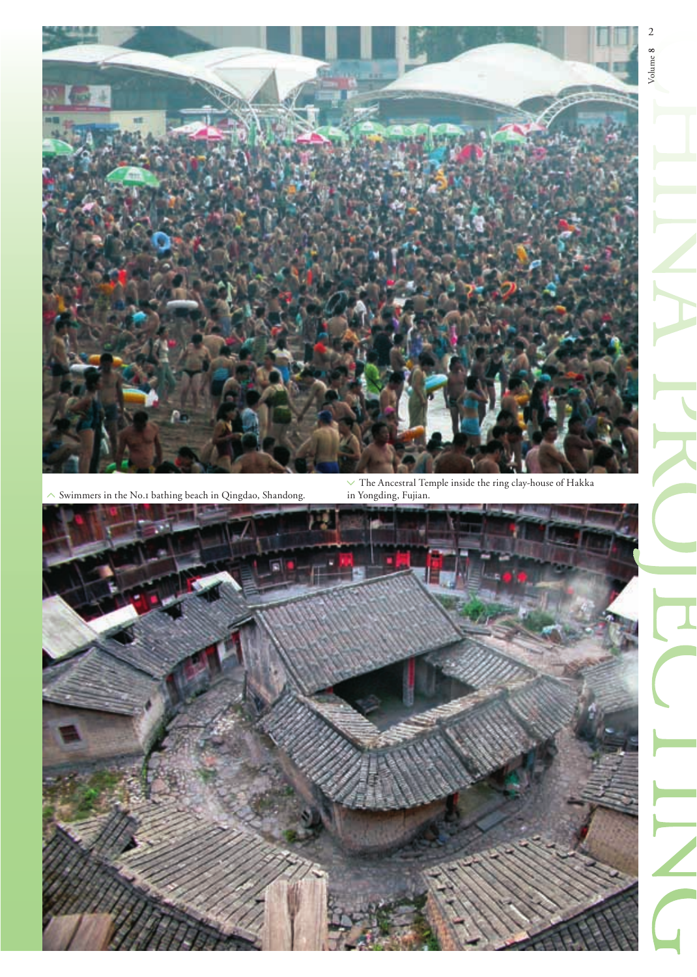

 $\sim$  Swimmers in the No.1 bathing beach in Qingdao, Shandong.

 $\vee$  The Ancestral Temple inside the ring clay-house of Hakka in Yongding, Fujian.

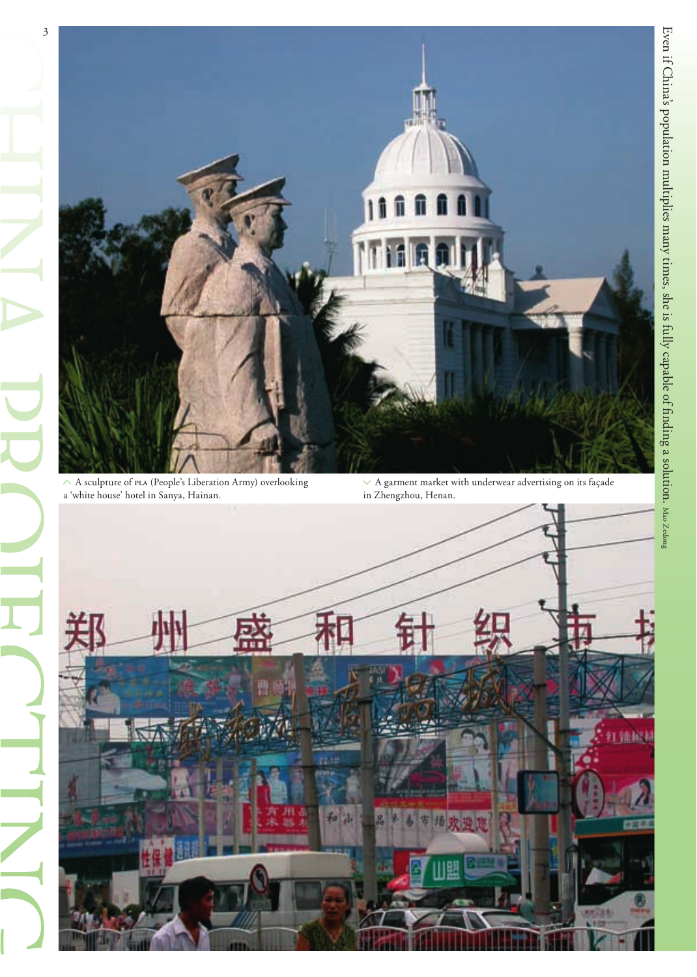

a 'white house' hotel in Sanya, Hainan.

3

in Zhengzhou, Henan.

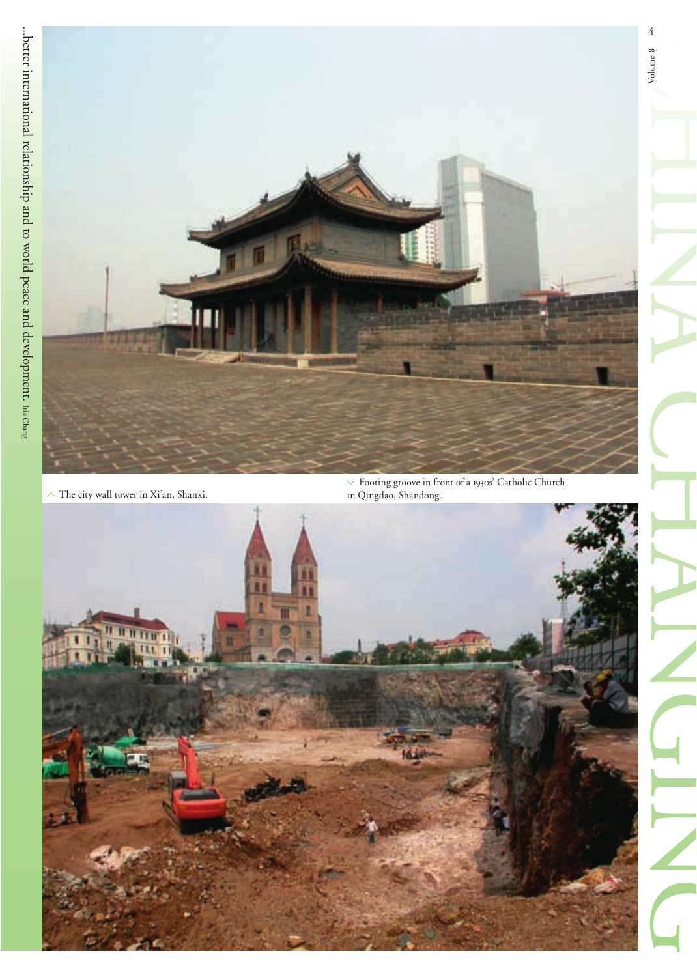

 $\curvearrowright$  The city wall tower in Xi'an, Shanxi.

 $\vee$  Footing groove in front of a 1930s' Catholic Church in Qingdao, Shandong.

4

Volume **8**

Volume 8

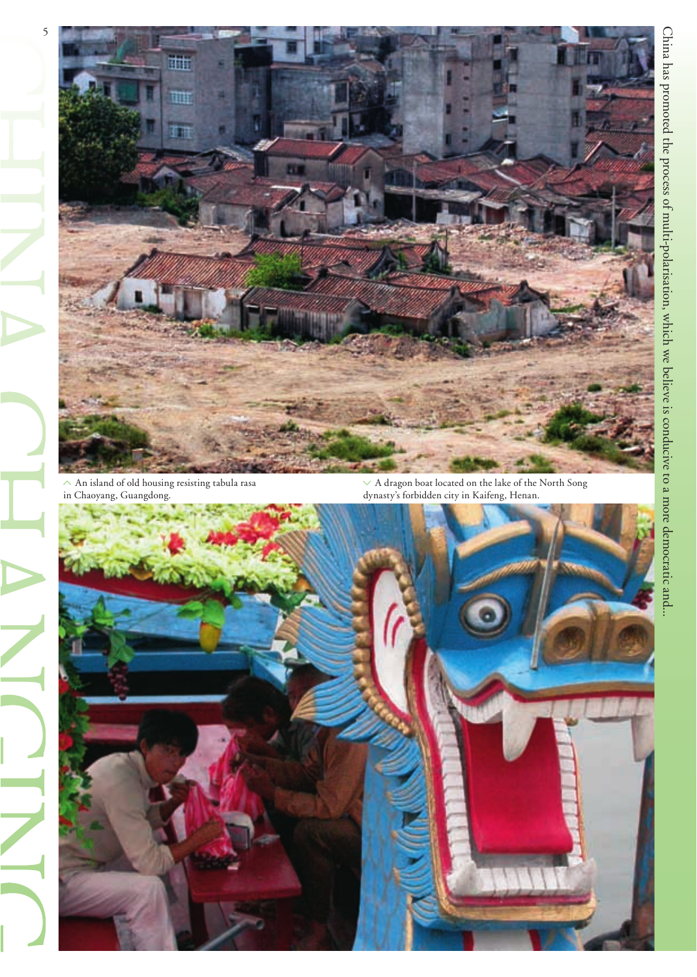

 $\wedge$  An island of old housing resisting tabula rasa in Chaoyang, Guangdong.

 $\vee$  A dragon boat located on the lake of the North Song dynasty's forbidden city in Kaifeng, Henan.

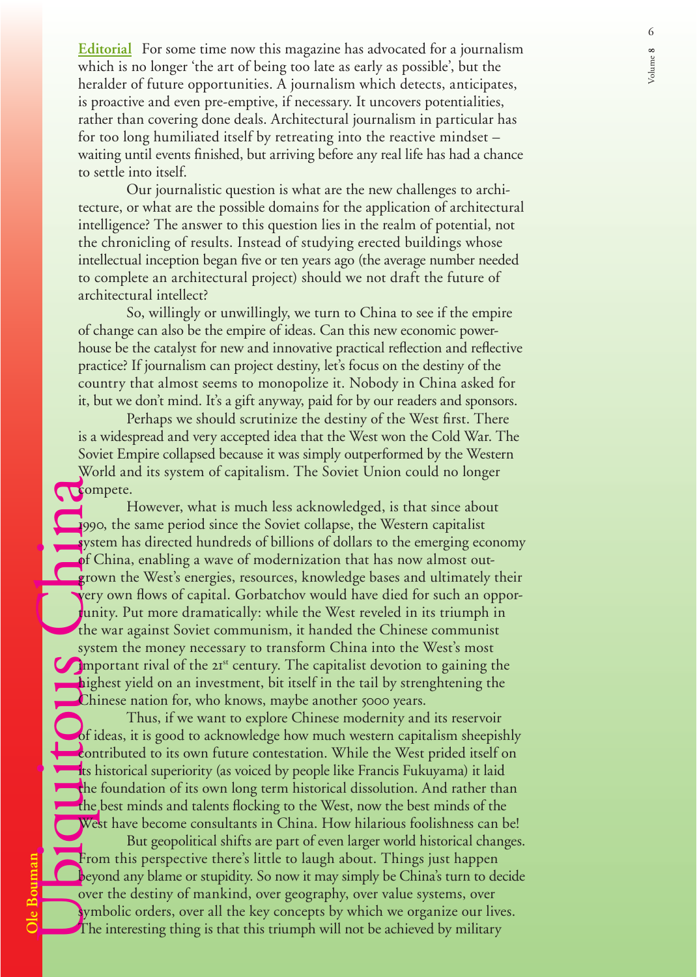**Editorial** For some time now this magazine has advocated for a journalism which is no longer 'the art of being too late as early as possible', but the heralder of future opportunities. A journalism which detects, anticipates, is proactive and even pre-emptive, if necessary. It uncovers potentialities, rather than covering done deals. Architectural journalism in particular has for too long humiliated itself by retreating into the reactive mindset – waiting until events finished, but arriving before any real life has had a chance to settle into itself.

 Our journalistic question is what are the new challenges to architecture, or what are the possible domains for the application of architectural intelligence? The answer to this question lies in the realm of potential, not the chronicling of results. Instead of studying erected buildings whose intellectual inception began five or ten years ago (the average number needed to complete an architectural project) should we not draft the future of architectural intellect?

 So, willingly or unwillingly, we turn to China to see if the empire of change can also be the empire of ideas. Can this new economic powerhouse be the catalyst for new and innovative practical reflection and reflective practice? If journalism can project destiny, let's focus on the destiny of the country that almost seems to monopolize it. Nobody in China asked for it, but we don't mind. It's a gift anyway, paid for by our readers and sponsors.

Perhaps we should scrutinize the destiny of the West first. There is a widespread and very accepted idea that the West won the Cold War. The Soviet Empire collapsed because it was simply outperformed by the Western World and its system of capitalism. The Soviet Union could no longer **Compete.** 

**Ole Bouman**<br> **OLE DE LE DE LE DE LE DE LE DE LE DE LE DE LE DE LE DE LE DE LE DE LE DE LE DE LE DE LE DE LE DE LE DE LE DE LE DE LE DE LE DE LE DE LA COMPUSATION DE LA COMPUSATION DE LA COMPUSATION DE LA COMPUSATION DE LA**  However, what is much less acknowledged, is that since about 1990, the same period since the Soviet collapse, the Western capitalist system has directed hundreds of billions of dollars to the emerging economy of China, enabling a wave of modernization that has now almost outgrown the West's energies, resources, knowledge bases and ultimately their **v**ery own flows of capital. Gorbatchov would have died for such an opportunity. Put more dramatically: while the West reveled in its triumph in the war against Soviet communism, it handed the Chinese communist system the money necessary to transform China into the West's most **Important rival of the**  $2I<sup>st</sup>$  **century. The capitalist devotion to gaining the** highest yield on an investment, bit itself in the tail by strenghtening the Chinese nation for, who knows, maybe another 5000 years.

 Thus, if we want to explore Chinese modernity and its reservoir of ideas, it is good to acknowledge how much western capitalism sheepishly contributed to its own future contestation. While the West prided itself on **its historical superiority (as voiced by people like Francis Fukuyama) it laid** the foundation of its own long term historical dissolution. And rather than the best minds and talents flocking to the West, now the best minds of the West have become consultants in China. How hilarious foolishness can be!

 But geopolitical shifts are part of even larger world historical changes. From this perspective there's little to laugh about. Things just happen beyond any blame or stupidity. So now it may simply be China's turn to decide over the destiny of mankind, over geography, over value systems, over symbolic orders, over all the key concepts by which we organize our lives. The interesting thing is that this triumph will not be achieved by military